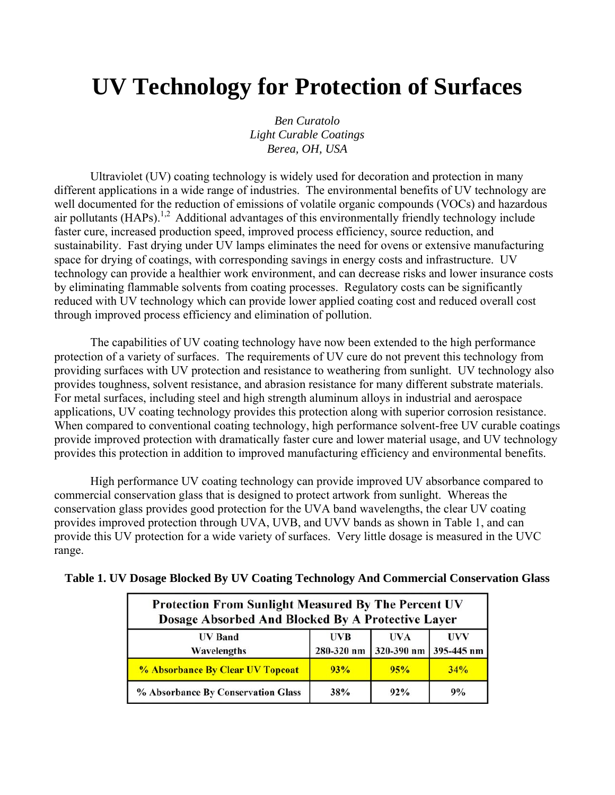# **UV Technology for Protection of Surfaces**

*Ben Curatolo Light Curable Coatings Berea, OH, USA*

 Ultraviolet (UV) coating technology is widely used for decoration and protection in many different applications in a wide range of industries. The environmental benefits of UV technology are well documented for the reduction of emissions of volatile organic compounds (VOCs) and hazardous air pollutants  $(HAPs)$ <sup>1,2</sup> Additional advantages of this environmentally friendly technology include faster cure, increased production speed, improved process efficiency, source reduction, and sustainability. Fast drying under UV lamps eliminates the need for ovens or extensive manufacturing space for drying of coatings, with corresponding savings in energy costs and infrastructure. UV technology can provide a healthier work environment, and can decrease risks and lower insurance costs by eliminating flammable solvents from coating processes. Regulatory costs can be significantly reduced with UV technology which can provide lower applied coating cost and reduced overall cost through improved process efficiency and elimination of pollution.

 The capabilities of UV coating technology have now been extended to the high performance protection of a variety of surfaces. The requirements of UV cure do not prevent this technology from providing surfaces with UV protection and resistance to weathering from sunlight. UV technology also provides toughness, solvent resistance, and abrasion resistance for many different substrate materials. For metal surfaces, including steel and high strength aluminum alloys in industrial and aerospace applications, UV coating technology provides this protection along with superior corrosion resistance. When compared to conventional coating technology, high performance solvent-free UV curable coatings provide improved protection with dramatically faster cure and lower material usage, and UV technology provides this protection in addition to improved manufacturing efficiency and environmental benefits.

 High performance UV coating technology can provide improved UV absorbance compared to commercial conservation glass that is designed to protect artwork from sunlight. Whereas the conservation glass provides good protection for the UVA band wavelengths, the clear UV coating provides improved protection through UVA, UVB, and UVV bands as shown in Table 1, and can provide this UV protection for a wide variety of surfaces. Very little dosage is measured in the UVC range.

| <b>Protection From Sunlight Measured By The Percent UV</b><br>Dosage Absorbed And Blocked By A Protective Layer |                          |                                         |     |  |  |  |
|-----------------------------------------------------------------------------------------------------------------|--------------------------|-----------------------------------------|-----|--|--|--|
| <b>UV</b> Band<br>Wavelengths                                                                                   | <b>UVB</b><br>280-320 nm | <b>UVA</b><br>$320-390$ nm $395-445$ nm | UVV |  |  |  |
| % Absorbance By Clear UV Topcoat                                                                                | 93%                      | 95%                                     | 34% |  |  |  |
| % Absorbance By Conservation Glass                                                                              | 38%                      | $92\%$                                  | 9%  |  |  |  |

|  |  |  |  | Table 1. UV Dosage Blocked By UV Coating Technology And Commercial Conservation Glass |  |
|--|--|--|--|---------------------------------------------------------------------------------------|--|
|  |  |  |  |                                                                                       |  |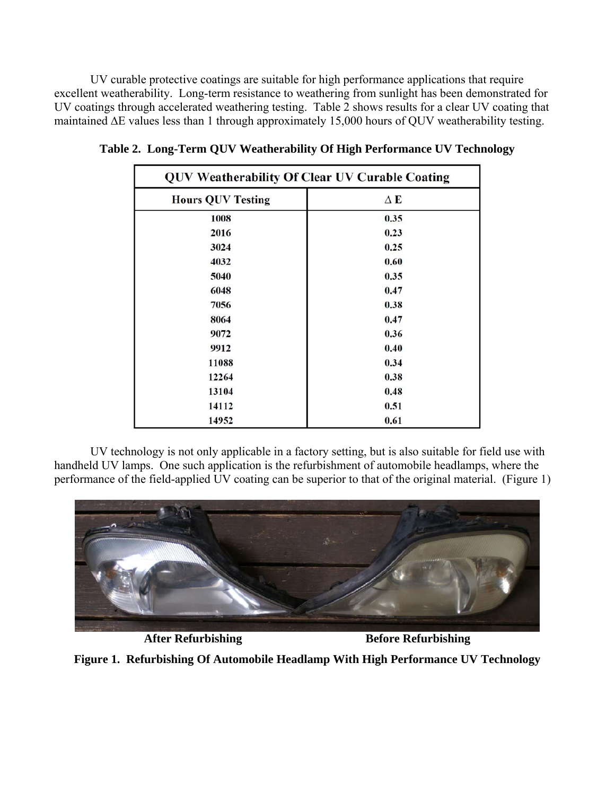UV curable protective coatings are suitable for high performance applications that require excellent weatherability. Long-term resistance to weathering from sunlight has been demonstrated for UV coatings through accelerated weathering testing. Table 2 shows results for a clear UV coating that maintained ∆E values less than 1 through approximately 15,000 hours of QUV weatherability testing.

| <b>QUV Weatherability Of Clear UV Curable Coating</b> |            |  |  |  |  |
|-------------------------------------------------------|------------|--|--|--|--|
| <b>Hours QUV Testing</b>                              | $\Delta$ E |  |  |  |  |
| 1008                                                  | 0.35       |  |  |  |  |
| 2016                                                  | 0.23       |  |  |  |  |
| 3024                                                  | 0.25       |  |  |  |  |
| 4032                                                  | 0.60       |  |  |  |  |
| 5040                                                  | 0.35       |  |  |  |  |
| 6048                                                  | 0.47       |  |  |  |  |
| 7056                                                  | 0.38       |  |  |  |  |
| 8064                                                  | 0.47       |  |  |  |  |
| 9072                                                  | 0.36       |  |  |  |  |
| 9912                                                  | 0.40       |  |  |  |  |
| 11088                                                 | 0.34       |  |  |  |  |
| 12264                                                 | 0.38       |  |  |  |  |
| 13104                                                 | 0.48       |  |  |  |  |
| 14112                                                 | 0.51       |  |  |  |  |
| 14952                                                 | 0.61       |  |  |  |  |

**Table 2. Long-Term QUV Weatherability Of High Performance UV Technology** 

UV technology is not only applicable in a factory setting, but is also suitable for field use with handheld UV lamps. One such application is the refurbishment of automobile headlamps, where the performance of the field-applied UV coating can be superior to that of the original material. (Figure 1)



After Refurbishing **Before Refurbishing** 

**Figure 1. Refurbishing Of Automobile Headlamp With High Performance UV Technology**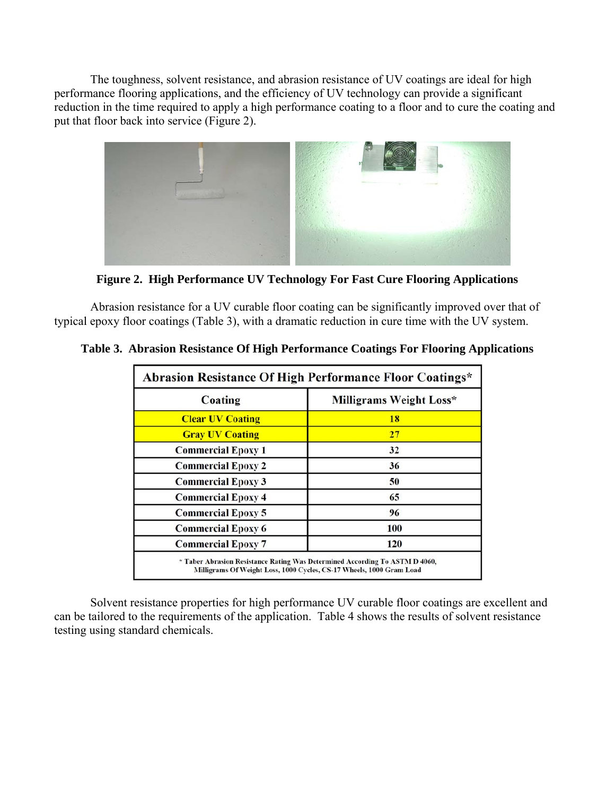The toughness, solvent resistance, and abrasion resistance of UV coatings are ideal for high performance flooring applications, and the efficiency of UV technology can provide a significant reduction in the time required to apply a high performance coating to a floor and to cure the coating and put that floor back into service (Figure 2).



**Figure 2. High Performance UV Technology For Fast Cure Flooring Applications**

 Abrasion resistance for a UV curable floor coating can be significantly improved over that of typical epoxy floor coatings (Table 3), with a dramatic reduction in cure time with the UV system.

| Abrasion Resistance Of High Performance Floor Coatings* |  |  |  |  |
|---------------------------------------------------------|--|--|--|--|
| Milligrams Weight Loss*                                 |  |  |  |  |
| 18                                                      |  |  |  |  |
| 27                                                      |  |  |  |  |
| 32                                                      |  |  |  |  |
| 36                                                      |  |  |  |  |
| 50                                                      |  |  |  |  |
| 65                                                      |  |  |  |  |
| 96                                                      |  |  |  |  |
| 100                                                     |  |  |  |  |
| 120                                                     |  |  |  |  |
|                                                         |  |  |  |  |

**Table 3. Abrasion Resistance Of High Performance Coatings For Flooring Applications**

 Solvent resistance properties for high performance UV curable floor coatings are excellent and can be tailored to the requirements of the application. Table 4 shows the results of solvent resistance testing using standard chemicals.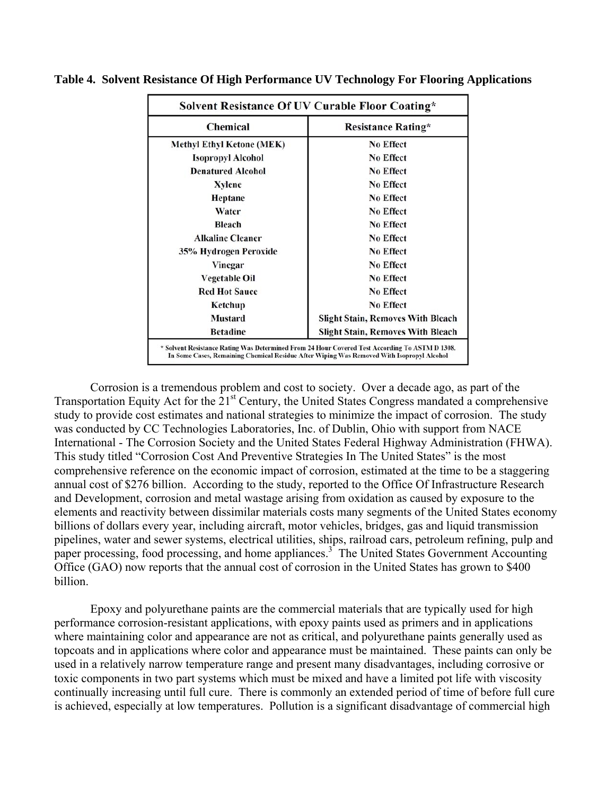| <b>Chemical</b>                  | <b>Resistance Rating*</b>                |  |  |
|----------------------------------|------------------------------------------|--|--|
| <b>Methyl Ethyl Ketone (MEK)</b> | <b>No Effect</b>                         |  |  |
| <b>Isopropyl Alcohol</b>         | <b>No Effect</b>                         |  |  |
| <b>Denatured Alcohol</b>         | <b>No Effect</b>                         |  |  |
| Xylene                           | <b>No Effect</b>                         |  |  |
| <b>Heptane</b>                   | <b>No Effect</b>                         |  |  |
| Water                            | <b>No Effect</b>                         |  |  |
| <b>Bleach</b>                    | <b>No Effect</b>                         |  |  |
| <b>Alkaline Cleaner</b>          | <b>No Effect</b>                         |  |  |
| 35% Hydrogen Peroxide            | <b>No Effect</b>                         |  |  |
| Vinegar                          | <b>No Effect</b>                         |  |  |
| <b>Vegetable Oil</b>             | <b>No Effect</b>                         |  |  |
| <b>Red Hot Sauce</b>             | <b>No Effect</b>                         |  |  |
| Ketchup                          | <b>No Effect</b>                         |  |  |
| <b>Mustard</b>                   | <b>Slight Stain, Removes With Bleach</b> |  |  |
| <b>Betadine</b>                  | <b>Slight Stain, Removes With Bleach</b> |  |  |

**Table 4. Solvent Resistance Of High Performance UV Technology For Flooring Applications**

 Corrosion is a tremendous problem and cost to society. Over a decade ago, as part of the Transportation Equity Act for the 21<sup>st</sup> Century, the United States Congress mandated a comprehensive study to provide cost estimates and national strategies to minimize the impact of corrosion. The study was conducted by CC Technologies Laboratories, Inc. of Dublin, Ohio with support from NACE International - The Corrosion Society and the United States Federal Highway Administration (FHWA). This study titled "Corrosion Cost And Preventive Strategies In The United States" is the most comprehensive reference on the economic impact of corrosion, estimated at the time to be a staggering annual cost of \$276 billion. According to the study, reported to the Office Of Infrastructure Research and Development, corrosion and metal wastage arising from oxidation as caused by exposure to the elements and reactivity between dissimilar materials costs many segments of the United States economy billions of dollars every year, including aircraft, motor vehicles, bridges, gas and liquid transmission pipelines, water and sewer systems, electrical utilities, ships, railroad cars, petroleum refining, pulp and paper processing, food processing, and home appliances.<sup>3</sup> The United States Government Accounting Office (GAO) now reports that the annual cost of corrosion in the United States has grown to \$400 billion.

Epoxy and polyurethane paints are the commercial materials that are typically used for high performance corrosion-resistant applications, with epoxy paints used as primers and in applications where maintaining color and appearance are not as critical, and polyurethane paints generally used as topcoats and in applications where color and appearance must be maintained. These paints can only be used in a relatively narrow temperature range and present many disadvantages, including corrosive or toxic components in two part systems which must be mixed and have a limited pot life with viscosity continually increasing until full cure. There is commonly an extended period of time of before full cure is achieved, especially at low temperatures. Pollution is a significant disadvantage of commercial high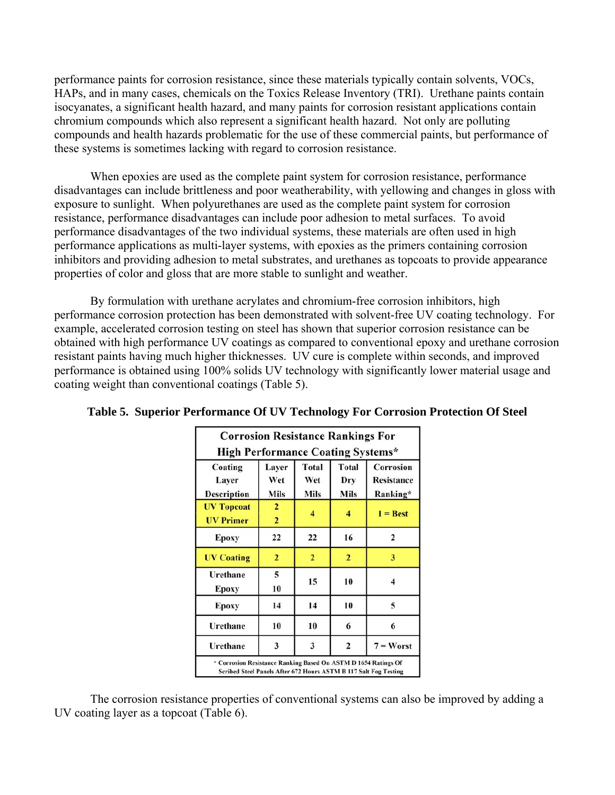performance paints for corrosion resistance, since these materials typically contain solvents, VOCs, HAPs, and in many cases, chemicals on the Toxics Release Inventory (TRI). Urethane paints contain isocyanates, a significant health hazard, and many paints for corrosion resistant applications contain chromium compounds which also represent a significant health hazard. Not only are polluting compounds and health hazards problematic for the use of these commercial paints, but performance of these systems is sometimes lacking with regard to corrosion resistance.

 When epoxies are used as the complete paint system for corrosion resistance, performance disadvantages can include brittleness and poor weatherability, with yellowing and changes in gloss with exposure to sunlight. When polyurethanes are used as the complete paint system for corrosion resistance, performance disadvantages can include poor adhesion to metal surfaces. To avoid performance disadvantages of the two individual systems, these materials are often used in high performance applications as multi-layer systems, with epoxies as the primers containing corrosion inhibitors and providing adhesion to metal substrates, and urethanes as topcoats to provide appearance properties of color and gloss that are more stable to sunlight and weather.

 By formulation with urethane acrylates and chromium-free corrosion inhibitors, high performance corrosion protection has been demonstrated with solvent-free UV coating technology. For example, accelerated corrosion testing on steel has shown that superior corrosion resistance can be obtained with high performance UV coatings as compared to conventional epoxy and urethane corrosion resistant paints having much higher thicknesses. UV cure is complete within seconds, and improved performance is obtained using 100% solids UV technology with significantly lower material usage and coating weight than conventional coatings (Table 5).

| <b>Corrosion Resistance Rankings For</b>                                                                                           |                                         |                                    |                                    |                                            |  |  |
|------------------------------------------------------------------------------------------------------------------------------------|-----------------------------------------|------------------------------------|------------------------------------|--------------------------------------------|--|--|
| <b>High Performance Coating Systems*</b>                                                                                           |                                         |                                    |                                    |                                            |  |  |
| Coating<br>Layer<br><b>Description</b>                                                                                             | Layer<br>Wet<br>Mils                    | <b>Total</b><br>Wet<br><b>Mils</b> | <b>Total</b><br>Dry<br><b>Mils</b> | Corrosion<br><b>Resistance</b><br>Ranking* |  |  |
| <b>UV Topcoat</b><br><b>UV Primer</b>                                                                                              | $\mathbf{2}$<br>$\overline{\mathbf{2}}$ | $\overline{\bf{4}}$                | 4                                  | $1 =$ <b>Best</b>                          |  |  |
| <b>Epoxy</b>                                                                                                                       | 22                                      | 22                                 | 16                                 | $\overline{\mathbf{c}}$                    |  |  |
| <b>UV Coating</b>                                                                                                                  | $\overline{2}$                          | $\overline{2}$                     | $\overline{2}$                     | 3                                          |  |  |
| Urethane<br>Epoxy                                                                                                                  | 5<br>10                                 | 15                                 | 10                                 | 4                                          |  |  |
| Epoxy                                                                                                                              | 14                                      | 14                                 | 10                                 | 5                                          |  |  |
| Urethane                                                                                                                           | 10                                      | 10                                 | 6                                  | 6                                          |  |  |
| <b>Urethane</b>                                                                                                                    | 3                                       | $\mathbf{3}$                       | $\overline{2}$                     | $7 =$ Worst                                |  |  |
| * Corrosion Resistance Ranking Based On ASTM D 1654 Ratings Of<br>Scribed Steel Panels After 672 Hours ASTM B 117 Salt Fog Testing |                                         |                                    |                                    |                                            |  |  |

#### **Table 5. Superior Performance Of UV Technology For Corrosion Protection Of Steel**

The corrosion resistance properties of conventional systems can also be improved by adding a UV coating layer as a topcoat (Table 6).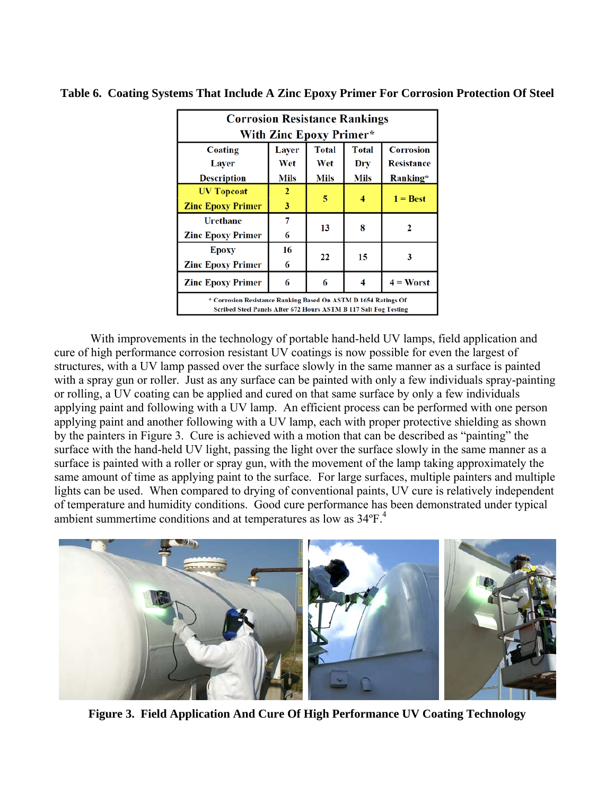| <b>Corrosion Resistance Rankings</b>                                                                                               |              |             |             |                   |  |  |
|------------------------------------------------------------------------------------------------------------------------------------|--------------|-------------|-------------|-------------------|--|--|
| With Zinc Epoxy Primer*                                                                                                            |              |             |             |                   |  |  |
| <b>Total</b><br><b>Total</b><br><b>Corrosion</b><br><b>Layer</b><br>Coating                                                        |              |             |             |                   |  |  |
| Layer                                                                                                                              | Wet          | Wet         | Dry         | <b>Resistance</b> |  |  |
| <b>Description</b>                                                                                                                 | Mils         | <b>Mils</b> | <b>Mils</b> | Ranking*          |  |  |
| <b>UV Topcoat</b>                                                                                                                  | $\mathbf{2}$ |             |             | $1 = Best$        |  |  |
| <b>Zinc Epoxy Primer</b>                                                                                                           | 3            | 5           | 4           |                   |  |  |
| <b>Urethane</b>                                                                                                                    | 7            |             |             |                   |  |  |
| <b>Zinc Epoxy Primer</b>                                                                                                           | 6            | 13          | 8           |                   |  |  |
| <b>Epoxy</b>                                                                                                                       | 16           |             |             | 3                 |  |  |
| <b>Zinc Epoxy Primer</b>                                                                                                           | 6            | 22          | 15          |                   |  |  |
| <b>Zinc Epoxy Primer</b>                                                                                                           | 6            | 6           |             | $4 =$ Worst       |  |  |
| * Corrosion Resistance Ranking Based On ASTM D 1654 Ratings Of<br>Scribed Steel Panels After 672 Hours ASTM B 117 Salt Fog Testing |              |             |             |                   |  |  |

### **Table 6. Coating Systems That Include A Zinc Epoxy Primer For Corrosion Protection Of Steel**

 With improvements in the technology of portable hand-held UV lamps, field application and cure of high performance corrosion resistant UV coatings is now possible for even the largest of structures, with a UV lamp passed over the surface slowly in the same manner as a surface is painted with a spray gun or roller. Just as any surface can be painted with only a few individuals spray-painting or rolling, a UV coating can be applied and cured on that same surface by only a few individuals applying paint and following with a UV lamp. An efficient process can be performed with one person applying paint and another following with a UV lamp, each with proper protective shielding as shown by the painters in Figure 3. Cure is achieved with a motion that can be described as "painting" the surface with the hand-held UV light, passing the light over the surface slowly in the same manner as a surface is painted with a roller or spray gun, with the movement of the lamp taking approximately the same amount of time as applying paint to the surface. For large surfaces, multiple painters and multiple lights can be used. When compared to drying of conventional paints, UV cure is relatively independent of temperature and humidity conditions. Good cure performance has been demonstrated under typical ambient summertime conditions and at temperatures as low as 34ºF.4



**Figure 3. Field Application And Cure Of High Performance UV Coating Technology**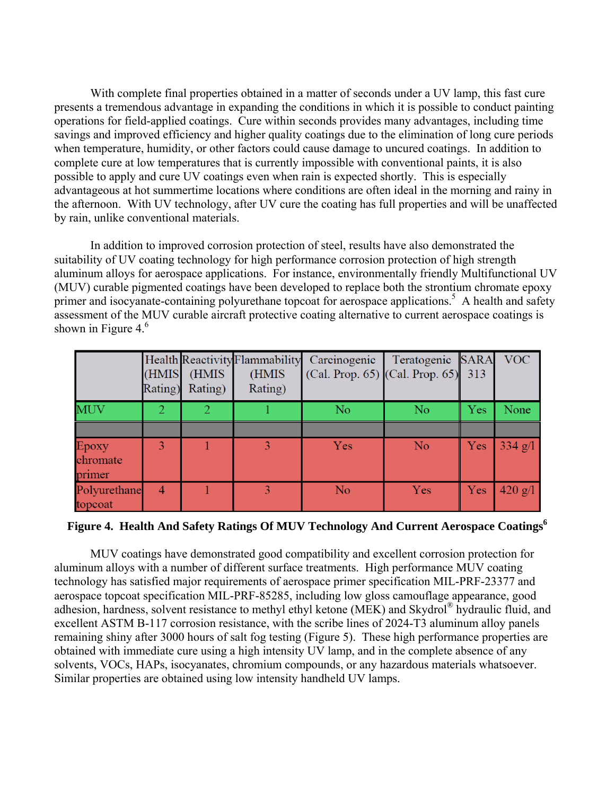With complete final properties obtained in a matter of seconds under a UV lamp, this fast cure presents a tremendous advantage in expanding the conditions in which it is possible to conduct painting operations for field-applied coatings. Cure within seconds provides many advantages, including time savings and improved efficiency and higher quality coatings due to the elimination of long cure periods when temperature, humidity, or other factors could cause damage to uncured coatings. In addition to complete cure at low temperatures that is currently impossible with conventional paints, it is also possible to apply and cure UV coatings even when rain is expected shortly. This is especially advantageous at hot summertime locations where conditions are often ideal in the morning and rainy in the afternoon. With UV technology, after UV cure the coating has full properties and will be unaffected by rain, unlike conventional materials.

 In addition to improved corrosion protection of steel, results have also demonstrated the suitability of UV coating technology for high performance corrosion protection of high strength aluminum alloys for aerospace applications. For instance, environmentally friendly Multifunctional UV (MUV) curable pigmented coatings have been developed to replace both the strontium chromate epoxy primer and isocyanate-containing polyurethane topcoat for aerospace applications.<sup>5</sup> A health and safety assessment of the MUV curable aircraft protective coating alternative to current aerospace coatings is shown in Figure  $4<sup>6</sup>$ 

|                             | (HMIS | (HMIS<br>Rating) Rating) | Health Reactivity Flammability<br>(HMIS<br>Rating) | Carcinogenic<br>(Cal. Prop. 65) $ $ (Cal. Prop. 65) 313 | Teratogenic SARA |     | <b>VOC</b>        |
|-----------------------------|-------|--------------------------|----------------------------------------------------|---------------------------------------------------------|------------------|-----|-------------------|
| <b>MUV</b>                  |       |                          |                                                    | N <sub>o</sub>                                          | N <sub>o</sub>   | Yes | None              |
|                             |       |                          |                                                    |                                                         |                  |     |                   |
| Epoxy<br>chromate<br>primer |       |                          |                                                    | Yes                                                     | N <sub>o</sub>   | Yes | $334 \text{ g}/1$ |
| Polyurethane<br>topcoat     |       |                          |                                                    | N <sub>o</sub>                                          | Yes              | Yes | 420 g/l           |

**Figure 4. Health And Safety Ratings Of MUV Technology And Current Aerospace Coatings6**

 MUV coatings have demonstrated good compatibility and excellent corrosion protection for aluminum alloys with a number of different surface treatments. High performance MUV coating technology has satisfied major requirements of aerospace primer specification MIL-PRF-23377 and aerospace topcoat specification MIL-PRF-85285, including low gloss camouflage appearance, good adhesion, hardness, solvent resistance to methyl ethyl ketone (MEK) and Skydrol® hydraulic fluid, and excellent ASTM B-117 corrosion resistance, with the scribe lines of 2024-T3 aluminum alloy panels remaining shiny after 3000 hours of salt fog testing (Figure 5). These high performance properties are obtained with immediate cure using a high intensity UV lamp, and in the complete absence of any solvents, VOCs, HAPs, isocyanates, chromium compounds, or any hazardous materials whatsoever. Similar properties are obtained using low intensity handheld UV lamps.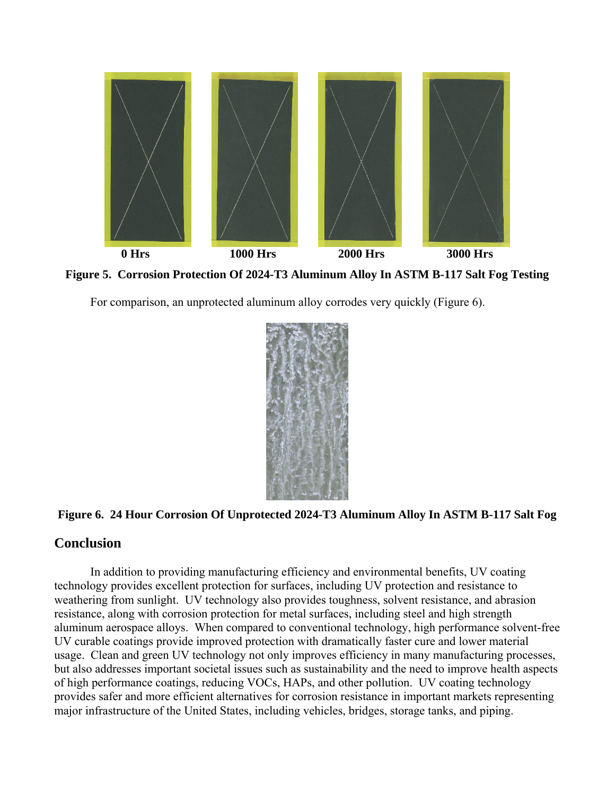

**Figure 5. Corrosion Protection Of 2024-T3 Aluminum Alloy In ASTM B-117 Salt Fog Testing** 

For comparison, an unprotected aluminum alloy corrodes very quickly (Figure 6).



## **Figure 6. 24 Hour Corrosion Of Unprotected 2024-T3 Aluminum Alloy In ASTM B-117 Salt Fog**

## **Conclusion**

 In addition to providing manufacturing efficiency and environmental benefits, UV coating technology provides excellent protection for surfaces, including UV protection and resistance to weathering from sunlight. UV technology also provides toughness, solvent resistance, and abrasion resistance, along with corrosion protection for metal surfaces, including steel and high strength aluminum aerospace alloys. When compared to conventional technology, high performance solvent-free UV curable coatings provide improved protection with dramatically faster cure and lower material usage. Clean and green UV technology not only improves efficiency in many manufacturing processes, but also addresses important societal issues such as sustainability and the need to improve health aspects of high performance coatings, reducing VOCs, HAPs, and other pollution. UV coating technology provides safer and more efficient alternatives for corrosion resistance in important markets representing major infrastructure of the United States, including vehicles, bridges, storage tanks, and piping.